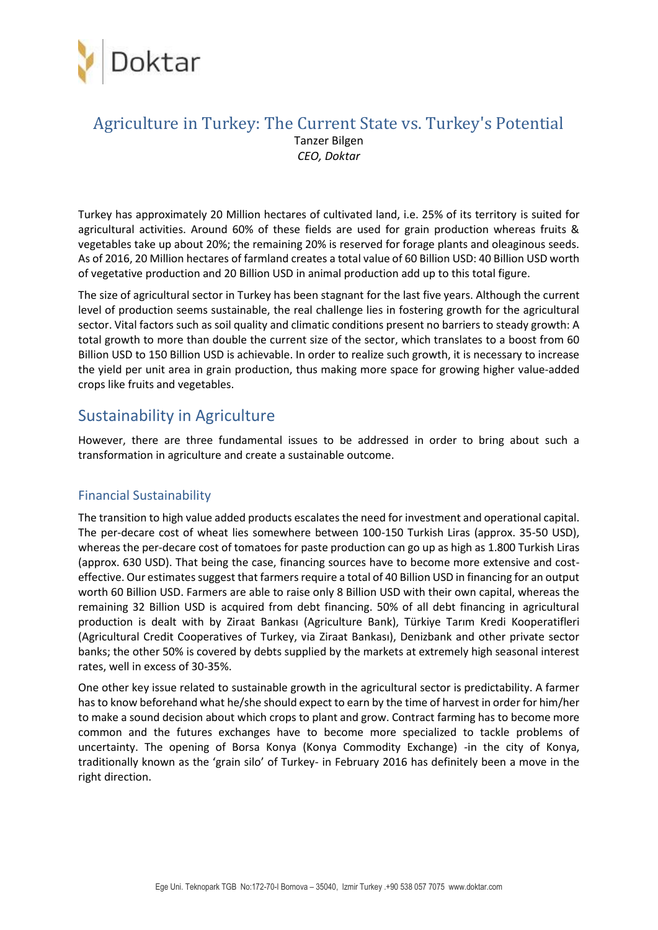

### Agriculture in Turkey: The Current State vs. Turkey's Potential Tanzer Bilgen *CEO, Doktar*

Turkey has approximately 20 Million hectares of cultivated land, i.e. 25% of its territory is suited for agricultural activities. Around 60% of these fields are used for grain production whereas fruits & vegetables take up about 20%; the remaining 20% is reserved for forage plants and oleaginous seeds. As of 2016, 20 Million hectares of farmland creates a total value of 60 Billion USD: 40 Billion USD worth of vegetative production and 20 Billion USD in animal production add up to this total figure.

The size of agricultural sector in Turkey has been stagnant for the last five years. Although the current level of production seems sustainable, the real challenge lies in fostering growth for the agricultural sector. Vital factors such as soil quality and climatic conditions present no barriers to steady growth: A total growth to more than double the current size of the sector, which translates to a boost from 60 Billion USD to 150 Billion USD is achievable. In order to realize such growth, it is necessary to increase the yield per unit area in grain production, thus making more space for growing higher value-added crops like fruits and vegetables.

### Sustainability in Agriculture

However, there are three fundamental issues to be addressed in order to bring about such a transformation in agriculture and create a sustainable outcome.

#### Financial Sustainability

The transition to high value added products escalates the need for investment and operational capital. The per-decare cost of wheat lies somewhere between 100-150 Turkish Liras (approx. 35-50 USD), whereas the per-decare cost of tomatoes for paste production can go up as high as 1.800 Turkish Liras (approx. 630 USD). That being the case, financing sources have to become more extensive and costeffective. Our estimates suggest that farmers require a total of 40 Billion USD in financing for an output worth 60 Billion USD. Farmers are able to raise only 8 Billion USD with their own capital, whereas the remaining 32 Billion USD is acquired from debt financing. 50% of all debt financing in agricultural production is dealt with by Ziraat Bankası (Agriculture Bank), Türkiye Tarım Kredi Kooperatifleri (Agricultural Credit Cooperatives of Turkey, via Ziraat Bankası), Denizbank and other private sector banks; the other 50% is covered by debts supplied by the markets at extremely high seasonal interest rates, well in excess of 30-35%.

One other key issue related to sustainable growth in the agricultural sector is predictability. A farmer has to know beforehand what he/she should expect to earn by the time of harvest in order for him/her to make a sound decision about which crops to plant and grow. Contract farming has to become more common and the futures exchanges have to become more specialized to tackle problems of uncertainty. The opening of Borsa Konya (Konya Commodity Exchange) -in the city of Konya, traditionally known as the 'grain silo' of Turkey- in February 2016 has definitely been a move in the right direction.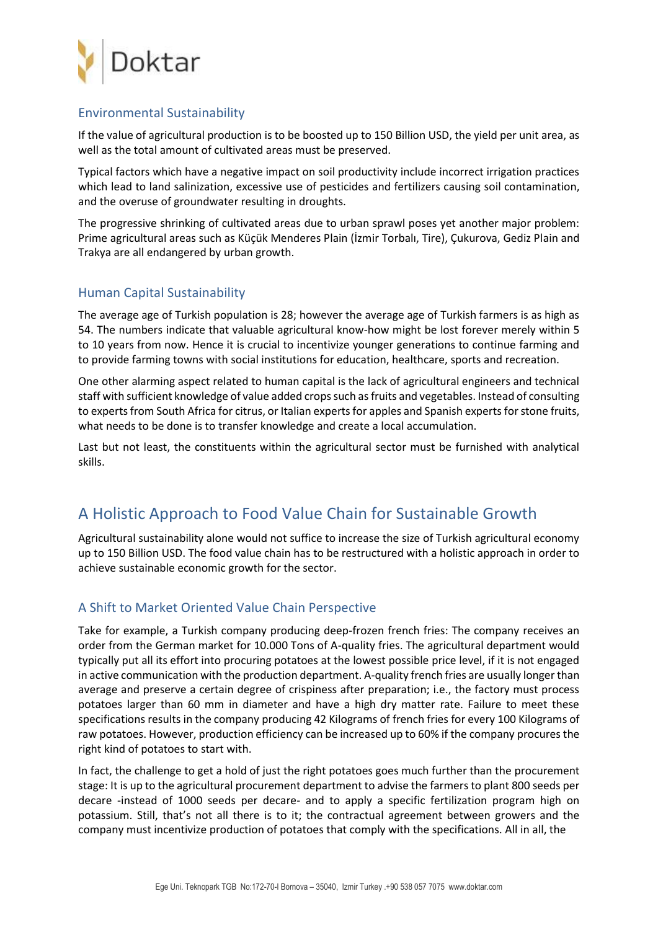

#### Environmental Sustainability

If the value of agricultural production is to be boosted up to 150 Billion USD, the yield per unit area, as well as the total amount of cultivated areas must be preserved.

Typical factors which have a negative impact on soil productivity include incorrect irrigation practices which lead to land salinization, excessive use of pesticides and fertilizers causing soil contamination, and the overuse of groundwater resulting in droughts.

The progressive shrinking of cultivated areas due to urban sprawl poses yet another major problem: Prime agricultural areas such as Küçük Menderes Plain (İzmir Torbalı, Tire), Çukurova, Gediz Plain and Trakya are all endangered by urban growth.

#### Human Capital Sustainability

The average age of Turkish population is 28; however the average age of Turkish farmers is as high as 54. The numbers indicate that valuable agricultural know-how might be lost forever merely within 5 to 10 years from now. Hence it is crucial to incentivize younger generations to continue farming and to provide farming towns with social institutions for education, healthcare, sports and recreation.

One other alarming aspect related to human capital is the lack of agricultural engineers and technical staff with sufficient knowledge of value added crops such as fruits and vegetables. Instead of consulting to experts from South Africa for citrus, or Italian experts for apples and Spanish experts for stone fruits, what needs to be done is to transfer knowledge and create a local accumulation.

Last but not least, the constituents within the agricultural sector must be furnished with analytical skills.

# A Holistic Approach to Food Value Chain for Sustainable Growth

Agricultural sustainability alone would not suffice to increase the size of Turkish agricultural economy up to 150 Billion USD. The food value chain has to be restructured with a holistic approach in order to achieve sustainable economic growth for the sector.

#### A Shift to Market Oriented Value Chain Perspective

Take for example, a Turkish company producing deep-frozen french fries: The company receives an order from the German market for 10.000 Tons of A-quality fries. The agricultural department would typically put all its effort into procuring potatoes at the lowest possible price level, if it is not engaged in active communication with the production department. A-quality french fries are usually longer than average and preserve a certain degree of crispiness after preparation; i.e., the factory must process potatoes larger than 60 mm in diameter and have a high dry matter rate. Failure to meet these specifications results in the company producing 42 Kilograms of french fries for every 100 Kilograms of raw potatoes. However, production efficiency can be increased up to 60% if the company procures the right kind of potatoes to start with.

In fact, the challenge to get a hold of just the right potatoes goes much further than the procurement stage: It is up to the agricultural procurement department to advise the farmers to plant 800 seeds per decare -instead of 1000 seeds per decare- and to apply a specific fertilization program high on potassium. Still, that's not all there is to it; the contractual agreement between growers and the company must incentivize production of potatoes that comply with the specifications. All in all, the